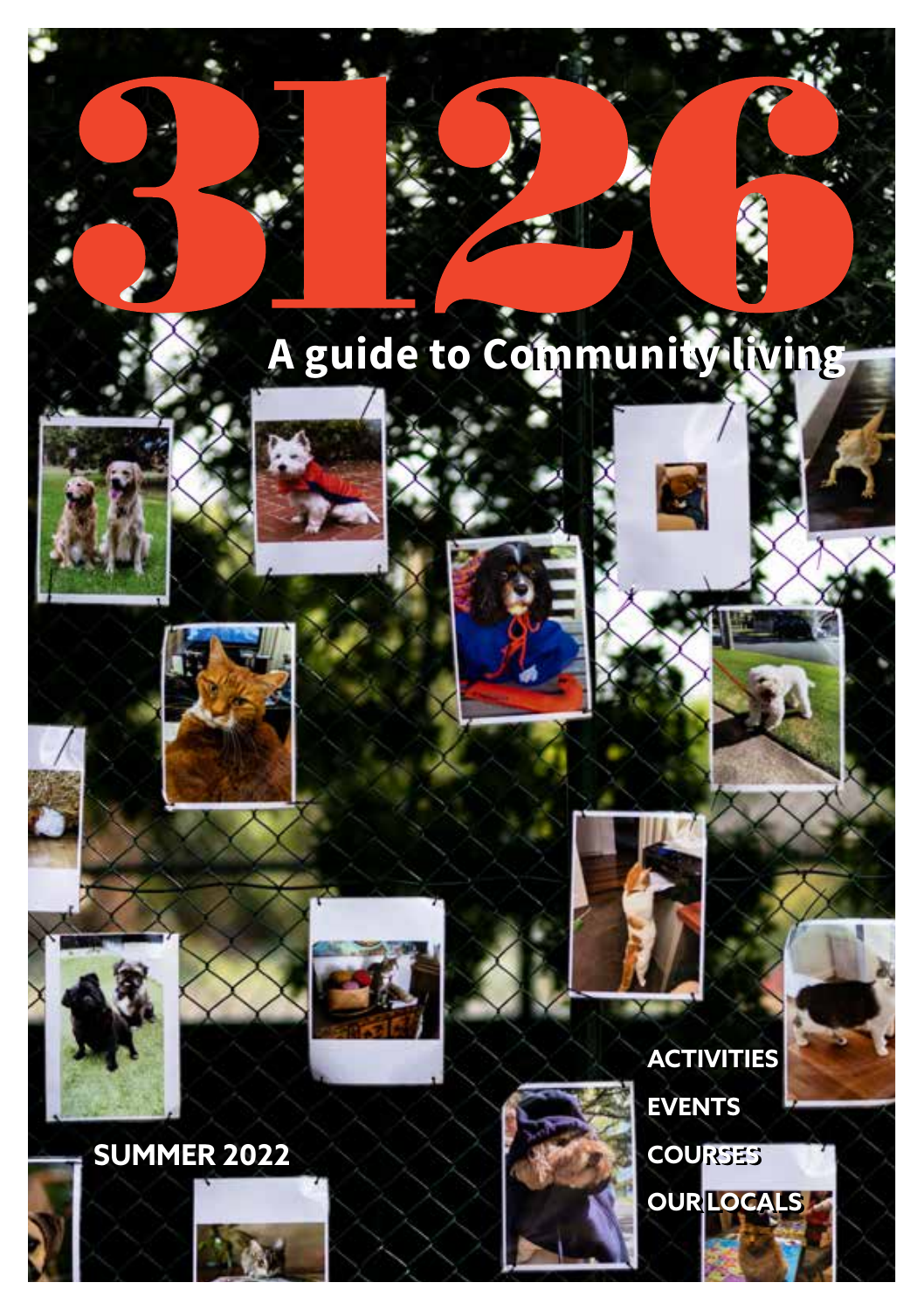# **A guide to Community living A guide to Community living**













**ACTIVITIES ACTIVITIES**

**EVENTS EVENTS**

**COURSES COURSES**

**OUR LOCALS OUR LOCALS**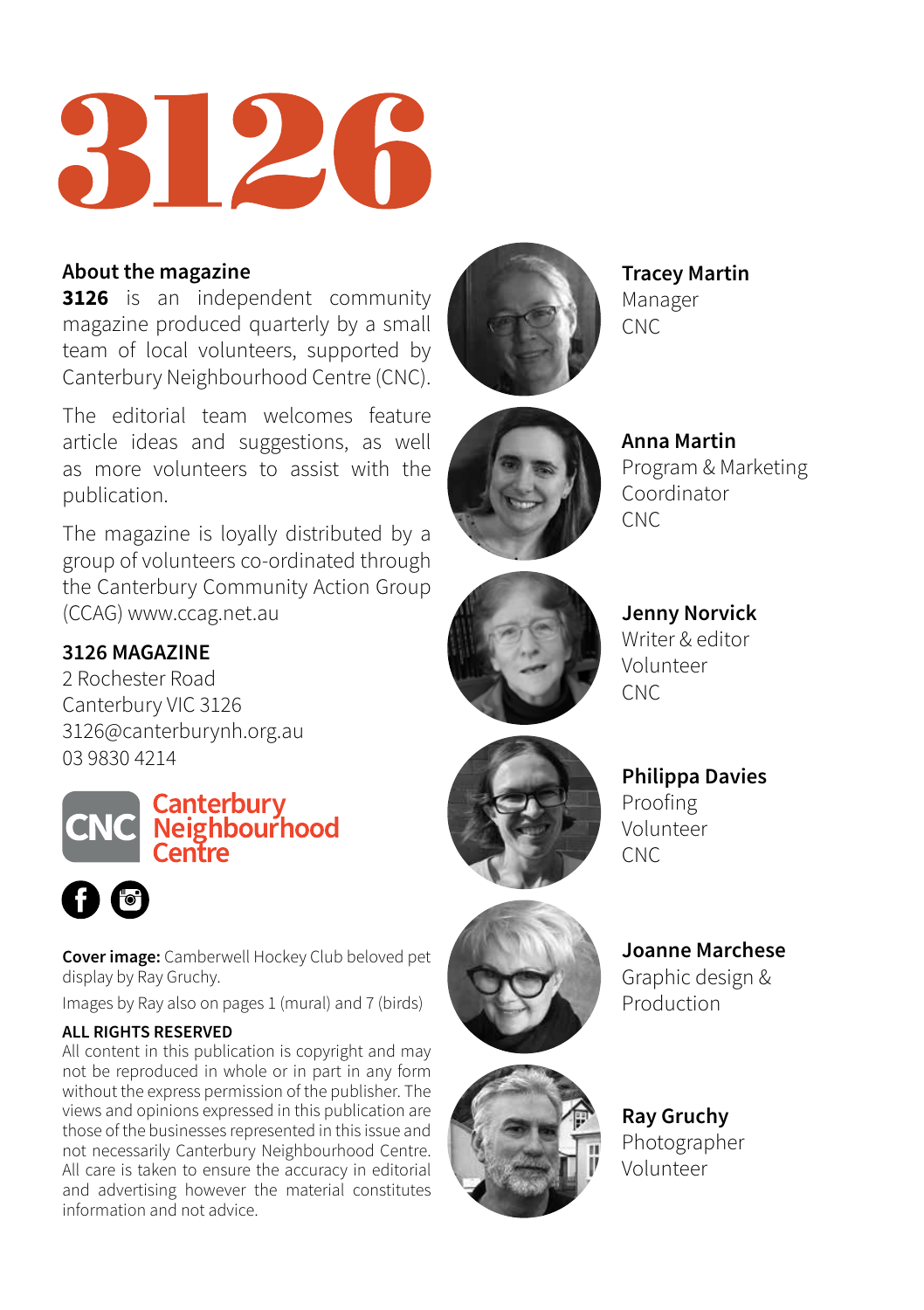

### **About the magazine**

**3126** is an independent community magazine produced quarterly by a small team of local volunteers, supported by Canterbury Neighbourhood Centre (CNC).

The editorial team welcomes feature article ideas and suggestions, as well as more volunteers to assist with the publication.

The magazine is loyally distributed by a group of volunteers co-ordinated through the Canterbury Community Action Group (CCAG) www.ccag.net.au

### **3126 MAGAZINE**

2 Rochester Road Canterbury VIC 3126 3126@canterburynh.org.au 03 9830 4214





**Cover image:** Camberwell Hockey Club beloved pet display by Ray Gruchy.

Images by Ray also on pages 1 (mural) and 7 (birds)

#### **ALL RIGHTS RESERVED**

All content in this publication is copyright and may not be reproduced in whole or in part in any form without the express permission of the publisher. The views and opinions expressed in this publication are those of the businesses represented in this issue and not necessarily Canterbury Neighbourhood Centre. All care is taken to ensure the accuracy in editorial and advertising however the material constitutes information and not advice.



**Tracey Martin** Manager CNC



**Anna Martin** Program & Marketing Coordinator CNC



**Jenny Norvick** Writer & editor Volunteer **CNC** 

**Philippa Davies** Proofing Volunteer CNC



**Joanne Marchese** Graphic design & Production

### **Ray Gruchy** Photographer Volunteer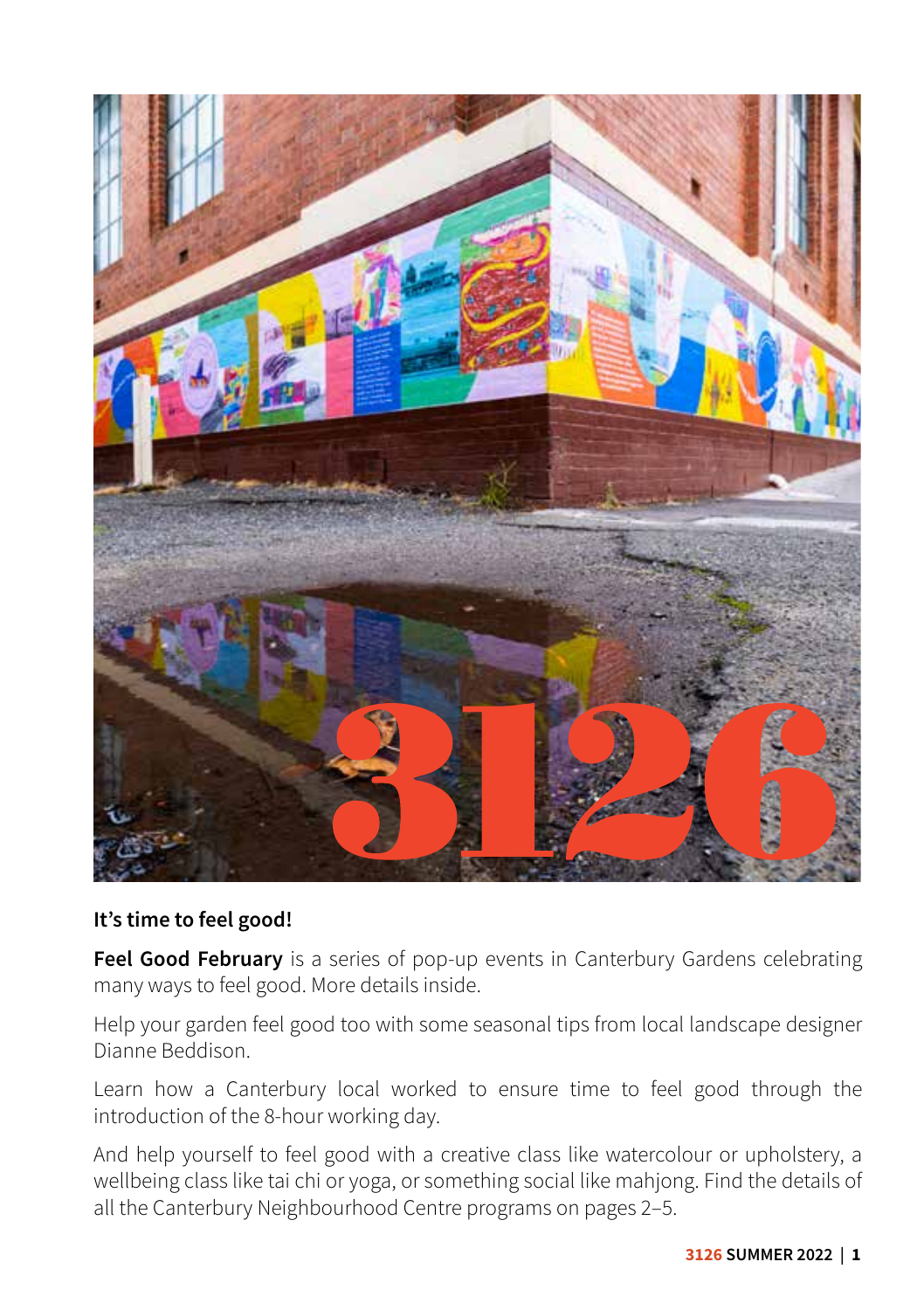

### **It's time to feel good!**

**Feel Good February** is a series of pop-up events in Canterbury Gardens celebrating many ways to feel good. More details inside.

Help your garden feel good too with some seasonal tips from local landscape designer Dianne Beddison.

Learn how a Canterbury local worked to ensure time to feel good through the introduction of the 8-hour working day.

And help yourself to feel good with a creative class like watercolour or upholstery, a wellbeing class like tai chi or yoga, or something social like mahjong. Find the details of all the Canterbury Neighbourhood Centre programs on pages 2–5.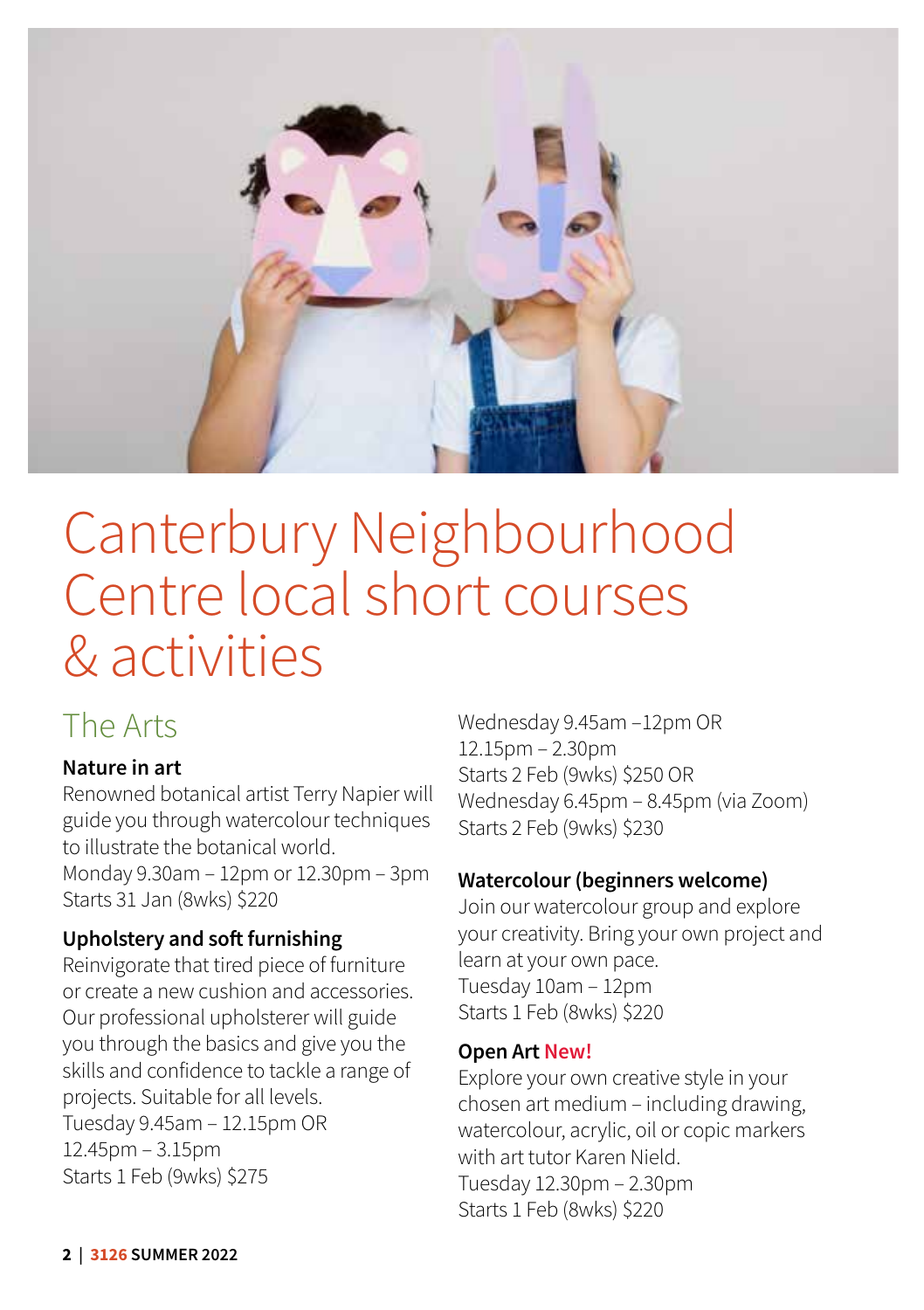

# Canterbury Neighbourhood Centre local short courses & activities

### The Arts

### **Nature in art**

Renowned botanical artist Terry Napier will guide you through watercolour techniques to illustrate the botanical world.

Monday 9.30am – 12pm or 12.30pm – 3pm Starts 31 Jan (8wks) \$220

### **Upholstery and soft furnishing**

Reinvigorate that tired piece of furniture or create a new cushion and accessories. Our professional upholsterer will guide you through the basics and give you the skills and confidence to tackle a range of projects. Suitable for all levels. Tuesday 9.45am – 12.15pm OR 12.45pm – 3.15pm Starts 1 Feb (9wks) \$275

Wednesday 9.45am –12pm OR 12.15pm – 2.30pm Starts 2 Feb (9wks) \$250 OR Wednesday 6.45pm – 8.45pm (via Zoom) Starts 2 Feb (9wks) \$230

### **Watercolour (beginners welcome)**

Join our watercolour group and explore your creativity. Bring your own project and learn at your own pace. Tuesday 10am – 12pm Starts 1 Feb (8wks) \$220

### **Open Art New!**

Explore your own creative style in your chosen art medium – including drawing, watercolour, acrylic, oil or copic markers with art tutor Karen Nield. Tuesday 12.30pm – 2.30pm Starts 1 Feb (8wks) \$220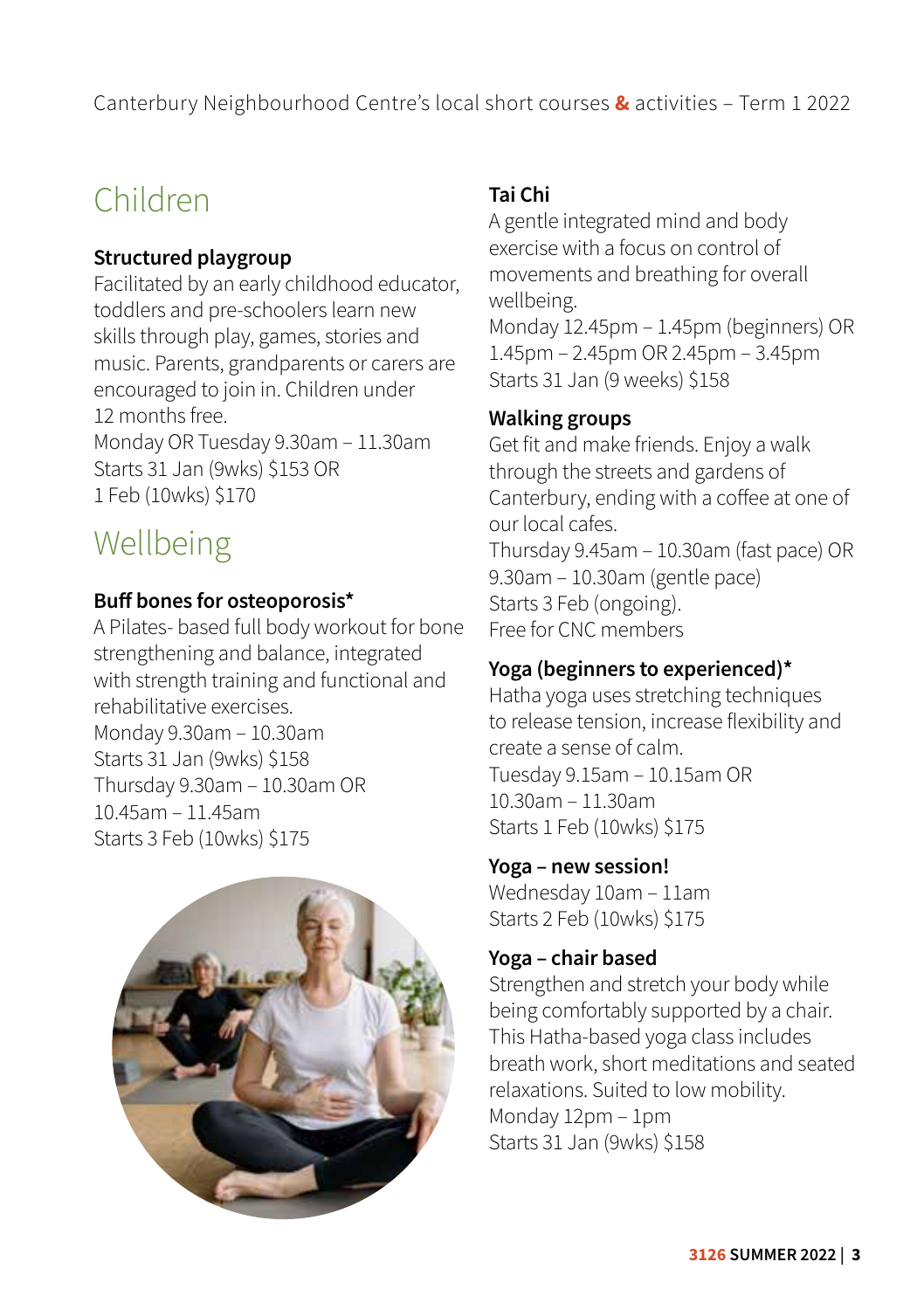Canterbury Neighbourhood Centre's local short courses **&** activities – Term 1 2022

### Children

### **Structured playgroup**

Facilitated by an early childhood educator, toddlers and pre-schoolers learn new skills through play, games, stories and music. Parents, grandparents or carers are encouraged to join in. Children under 12 months free. Monday OR Tuesday 9.30am – 11.30am Starts 31 Jan (9wks) \$153 OR 1 Feb (10wks) \$170

### Wellbeing

### **Buff bones for osteoporosis\***

A Pilates- based full body workout for bone strengthening and balance, integrated with strength training and functional and rehabilitative exercises. Monday 9.30am – 10.30am Starts 31 Jan (9wks) \$158 Thursday 9.30am – 10.30am OR 10.45am – 11.45am Starts 3 Feb (10wks) \$175



### **Tai Chi**

A gentle integrated mind and body exercise with a focus on control of movements and breathing for overall wellbeing. Monday 12.45pm – 1.45pm (beginners) OR 1.45pm – 2.45pm OR 2.45pm – 3.45pm Starts 31 Jan (9 weeks) \$158

### **Walking groups**

Get fit and make friends. Enjoy a walk through the streets and gardens of Canterbury, ending with a coffee at one of our local cafes. Thursday 9.45am – 10.30am (fast pace) OR 9.30am – 10.30am (gentle pace) Starts 3 Feb (ongoing). Free for CNC members

### **Yoga (beginners to experienced)\***

Hatha yoga uses stretching techniques to release tension, increase flexibility and create a sense of calm. Tuesday 9.15am – 10.15am OR 10.30am – 11.30am Starts 1 Feb (10wks) \$175

**Yoga – new session!**

Wednesday 10am – 11am Starts 2 Feb (10wks) \$175

### **Yoga – chair based**

Strengthen and stretch your body while being comfortably supported by a chair. This Hatha-based yoga class includes breath work, short meditations and seated relaxations. Suited to low mobility. Monday 12pm – 1pm Starts 31 Jan (9wks) \$158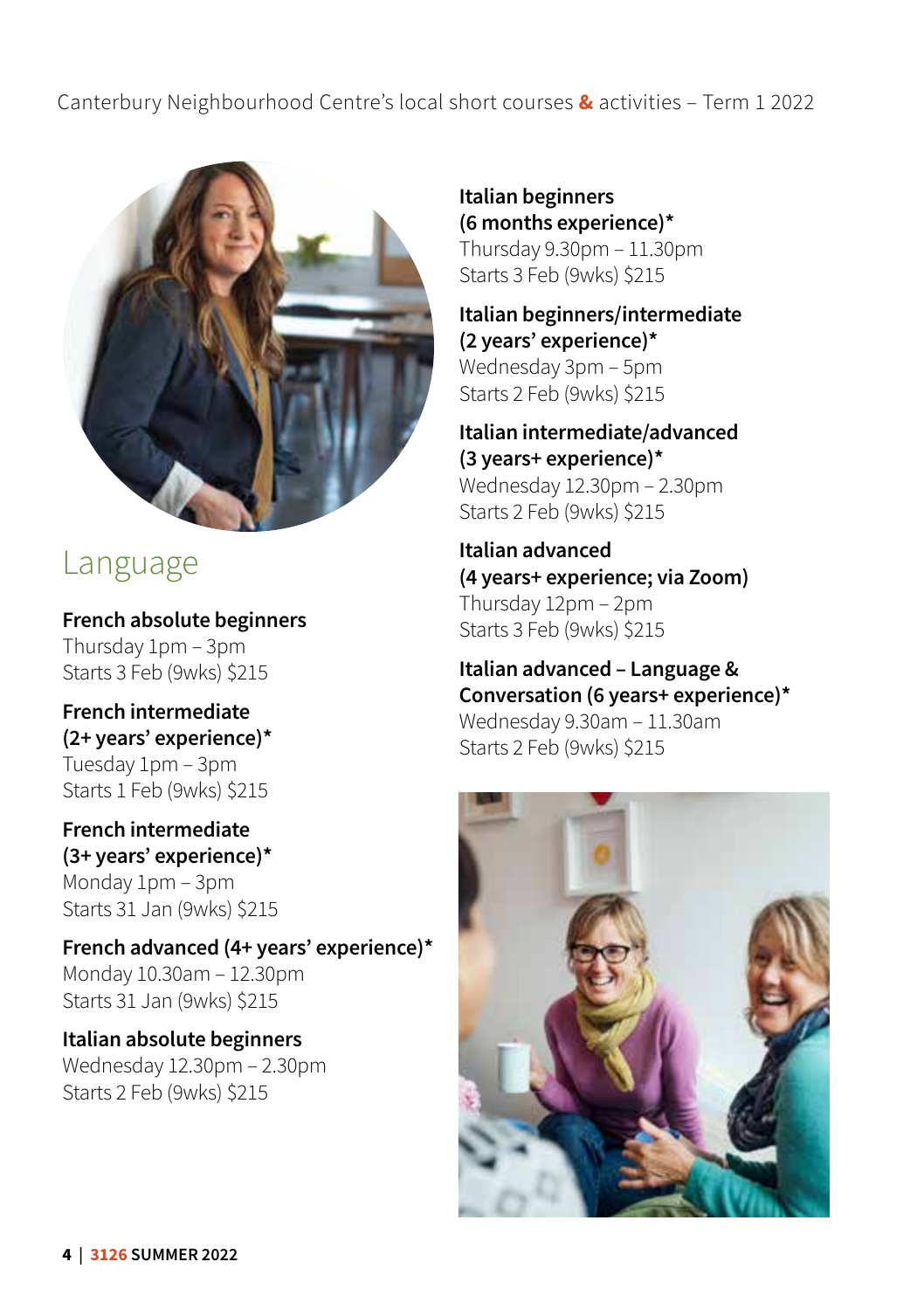### Canterbury Neighbourhood Centre's local short courses **&** activities – Term 1 2022



### Language

**French absolute beginners** Thursday 1pm – 3pm Starts 3 Feb (9wks) \$215

**French intermediate (2+ years' experience)\*** Tuesday 1pm – 3pm Starts 1 Feb (9wks) \$215

### **French intermediate (3+ years' experience)\*** Monday 1pm – 3pm

Starts 31 Jan (9wks) \$215

**French advanced (4+ years' experience)\*** Monday 10.30am – 12.30pm Starts 31 Jan (9wks) \$215

#### **Italian absolute beginners** Wednesday 12.30pm – 2.30pm Starts 2 Feb (9wks) \$215

**Italian beginners (6 months experience)\***  Thursday 9.30pm – 11.30pm Starts 3 Feb (9wks) \$215

**Italian beginners/intermediate (2 years' experience)\***  Wednesday 3pm – 5pm Starts 2 Feb (9wks) \$215

**Italian intermediate/advanced (3 years+ experience)\***  Wednesday 12.30pm – 2.30pm Starts 2 Feb (9wks) \$215

**Italian advanced (4 years+ experience; via Zoom)** Thursday 12pm – 2pm Starts 3 Feb (9wks) \$215

**Italian advanced – Language & Conversation (6 years+ experience)\***  Wednesday 9.30am – 11.30am Starts 2 Feb (9wks) \$215

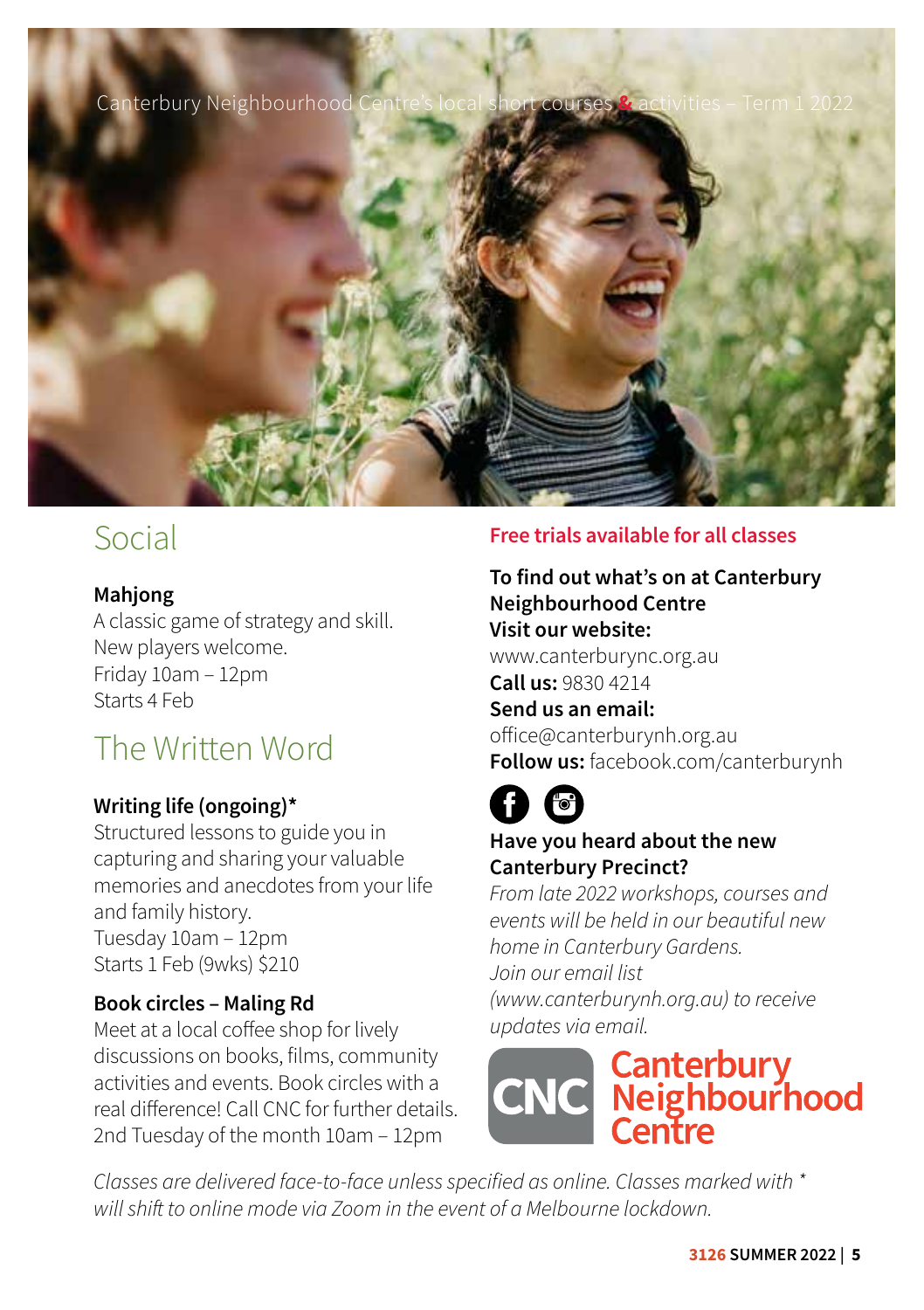

### Social

### **Mahjong**

A classic game of strategy and skill. New players welcome. Friday 10am – 12pm Starts 4 Feb

### The Written Word

### **Writing life (ongoing)\***

Structured lessons to guide you in capturing and sharing your valuable memories and anecdotes from your life and family history. Tuesday 10am – 12pm Starts 1 Feb (9wks) \$210

### **Book circles – Maling Rd**

Meet at a local coffee shop for lively discussions on books, films, community activities and events. Book circles with a real difference! Call CNC for further details. 2nd Tuesday of the month 10am – 12pm

### **Free trials available for all classes**

### **To find out what's on at Canterbury Neighbourhood Centre Visit our website:**

www.canterburync.org.au **Call us:** 9830 4214

### **Send us an email:**

office@canterburynh.org.au **Follow us:** facebook.com/canterburynh

### **Have you heard about the new Canterbury Precinct?**

*From late 2022 workshops, courses and events will be held in our beautiful new home in Canterbury Gardens. Join our email list [\(www.canterburynh.org.au\)](http://www.canterburynh.org.au) to receive* 

# *updates via email.*<br> **CNC** Meighbourhood<br> **CNC** Centre

*Classes are delivered face-to-face unless specified as online. Classes marked with \* will shift to online mode via Zoom in the event of a Melbourne lockdown.*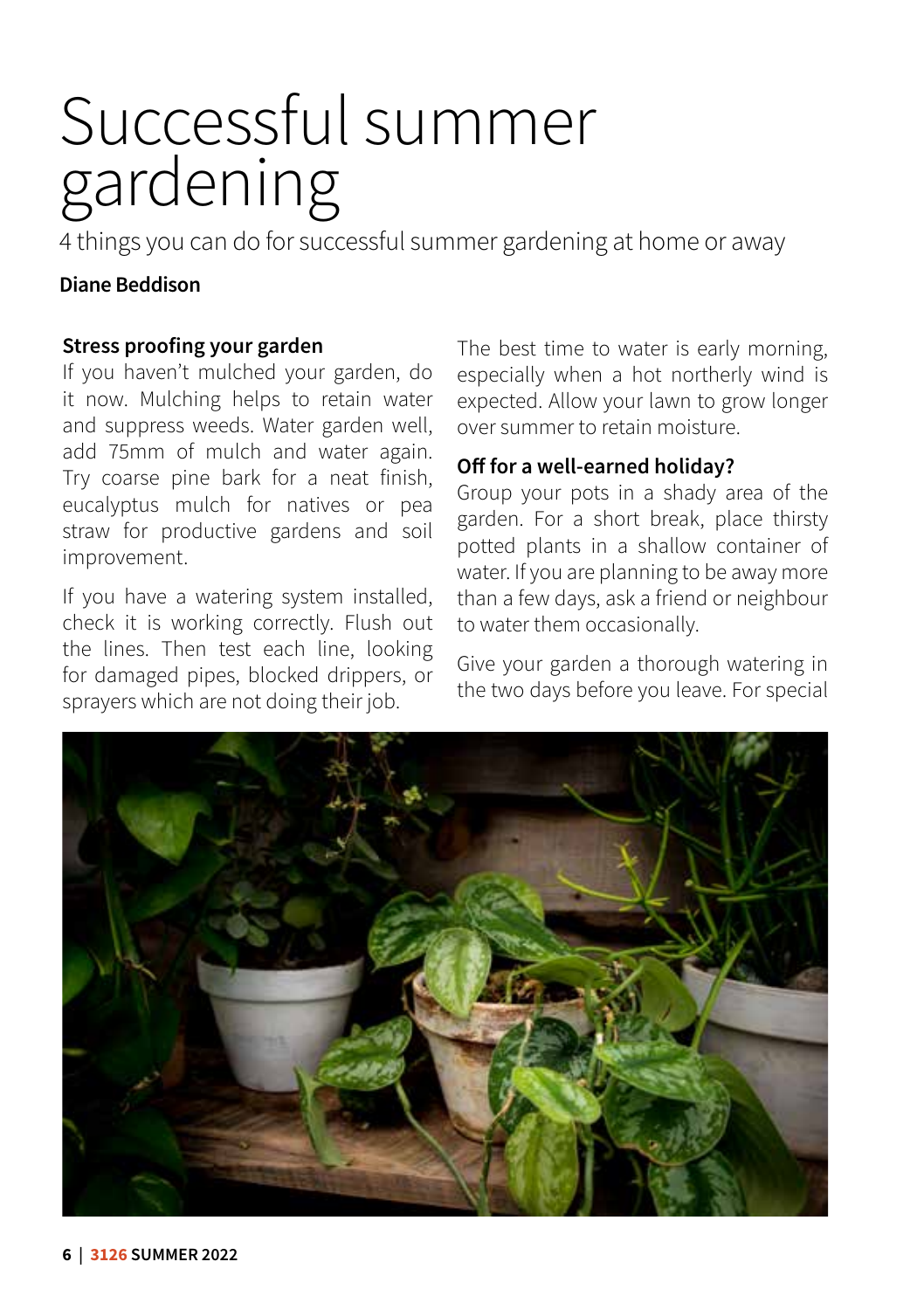# Successful summer gardening

4 things you can do for successful summer gardening at home or away

### **Diane Beddison**

### **Stress proofing your garden**

If you haven't mulched your garden, do it now. Mulching helps to retain water and suppress weeds. Water garden well, add 75mm of mulch and water again. Try coarse pine bark for a neat finish, eucalyptus mulch for natives or pea straw for productive gardens and soil improvement.

If you have a watering system installed, check it is working correctly. Flush out the lines. Then test each line, looking for damaged pipes, blocked drippers, or sprayers which are not doing their job.

The best time to water is early morning, especially when a hot northerly wind is expected. Allow your lawn to grow longer over summer to retain moisture.

### **Off for a well-earned holiday?**

Group your pots in a shady area of the garden. For a short break, place thirsty potted plants in a shallow container of water. If you are planning to be away more than a few days, ask a friend or neighbour to water them occasionally.

Give your garden a thorough watering in the two days before you leave. For special

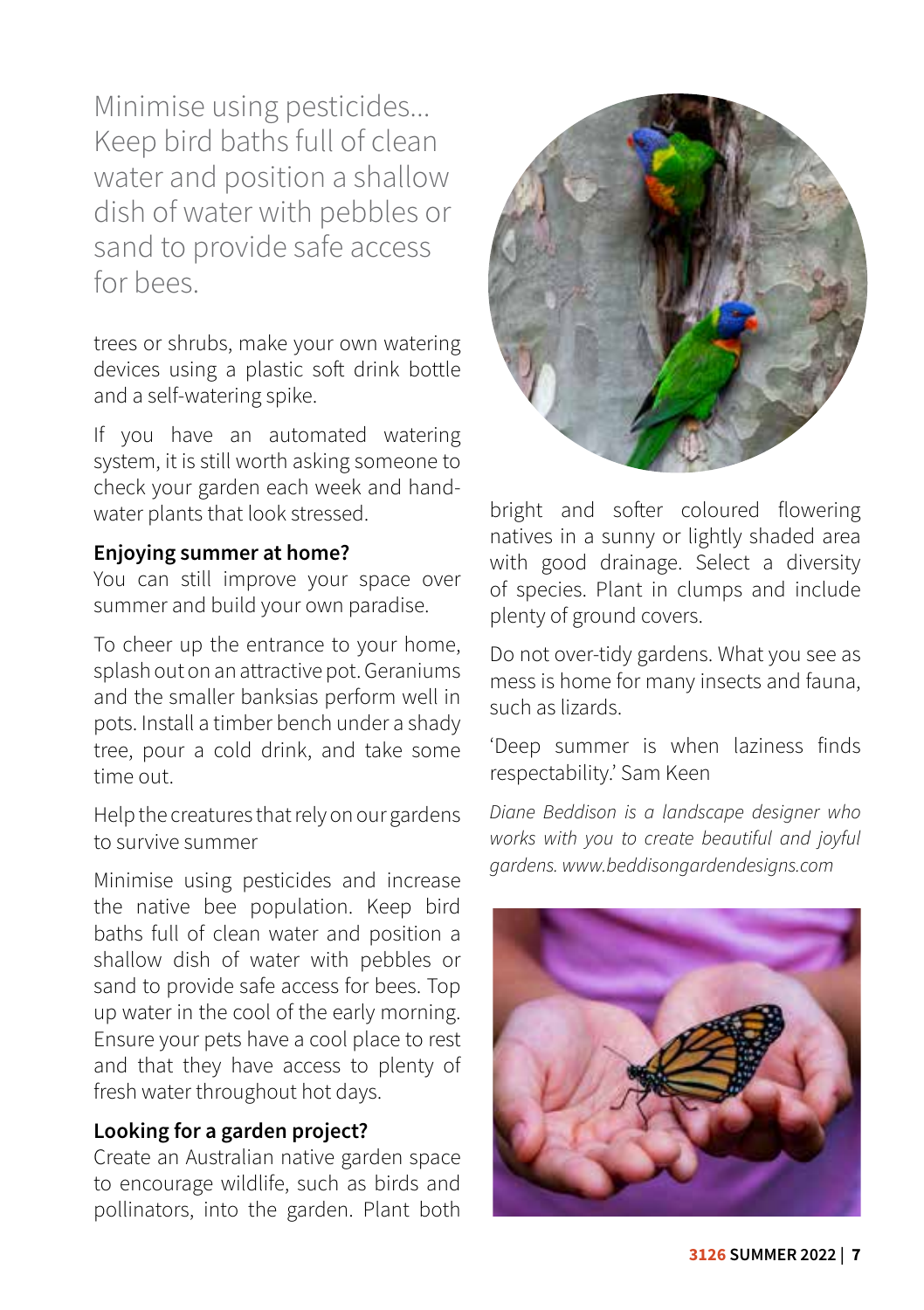Minimise using pesticides... Keep bird baths full of clean water and position a shallow dish of water with pebbles or sand to provide safe access for bees.

trees or shrubs, make your own watering devices using a plastic soft drink bottle and a self-watering spike.

If you have an automated watering system, it is still worth asking someone to check your garden each week and handwater plants that look stressed.

### **Enjoying summer at home?**

You can still improve your space over summer and build your own paradise.

To cheer up the entrance to your home, splash out on an attractive pot. Geraniums and the smaller banksias perform well in pots. Install a timber bench under a shady tree, pour a cold drink, and take some time out.

Help the creatures that rely on our gardens to survive summer

Minimise using pesticides and increase the native bee population. Keep bird baths full of clean water and position a shallow dish of water with pebbles or sand to provide safe access for bees. Top up water in the cool of the early morning. Ensure your pets have a cool place to rest and that they have access to plenty of fresh water throughout hot days.

### **Looking for a garden project?**

Create an Australian native garden space to encourage wildlife, such as birds and pollinators, into the garden. Plant both



bright and softer coloured flowering natives in a sunny or lightly shaded area with good drainage. Select a diversity of species. Plant in clumps and include plenty of ground covers.

Do not over-tidy gardens. What you see as mess is home for many insects and fauna, such as lizards.

'Deep summer is when laziness finds respectability.' Sam Keen

*Diane Beddison is a landscape designer who works with you to create beautiful and joyful gardens. www.beddisongardendesigns.com*

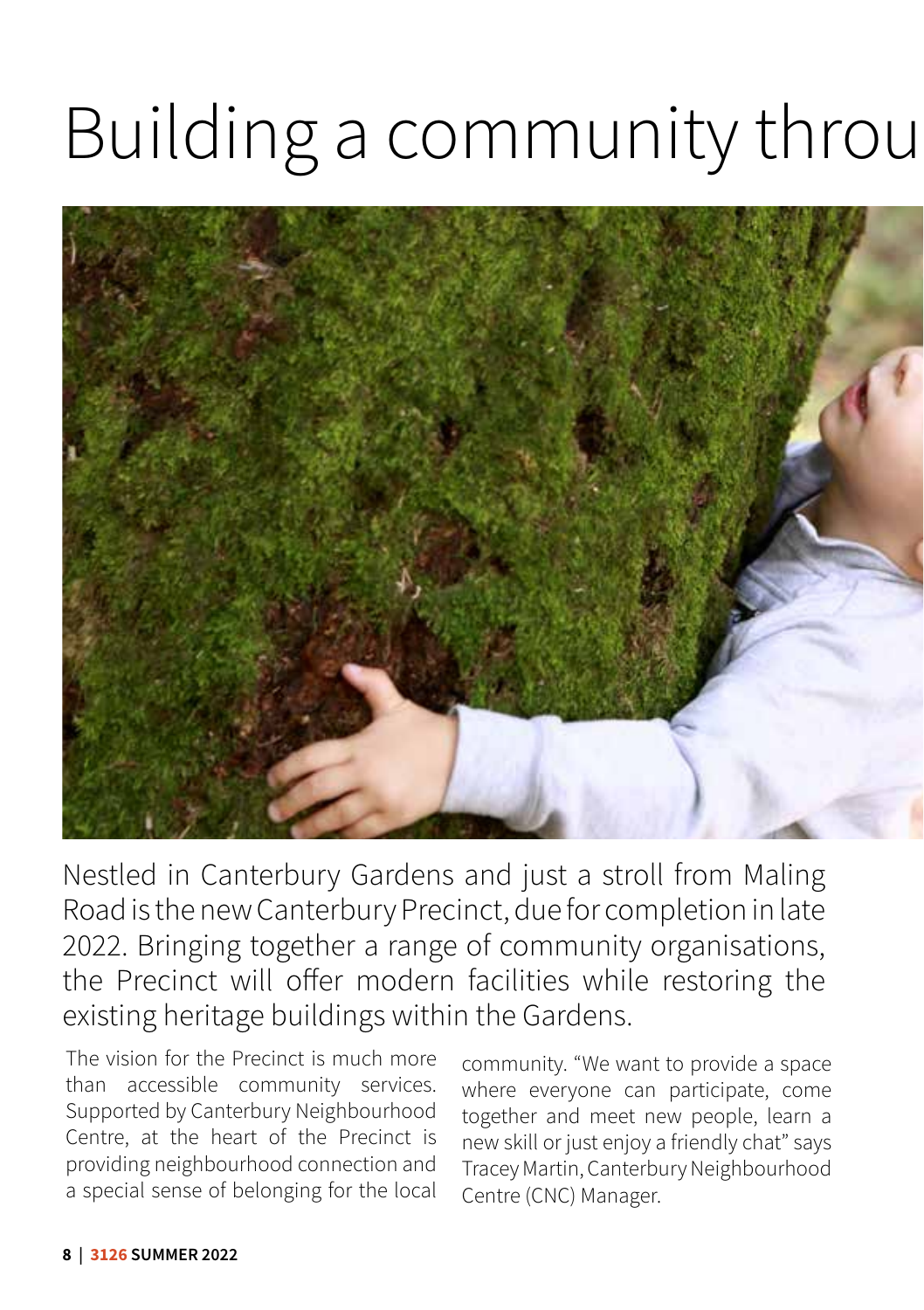# Building a community through



Nestled in Canterbury Gardens and just a stroll from Maling Road is the new Canterbury Precinct, due for completion in late 2022. Bringing together a range of community organisations, the Precinct will offer modern facilities while restoring the existing heritage buildings within the Gardens.

The vision for the Precinct is much more than accessible community services. Supported by Canterbury Neighbourhood Centre, at the heart of the Precinct is providing neighbourhood connection and a special sense of belonging for the local

community. "We want to provide a space where everyone can participate, come together and meet new people, learn a new skill or just enjoy a friendly chat" says Tracey Martin, Canterbury Neighbourhood Centre (CNC) Manager.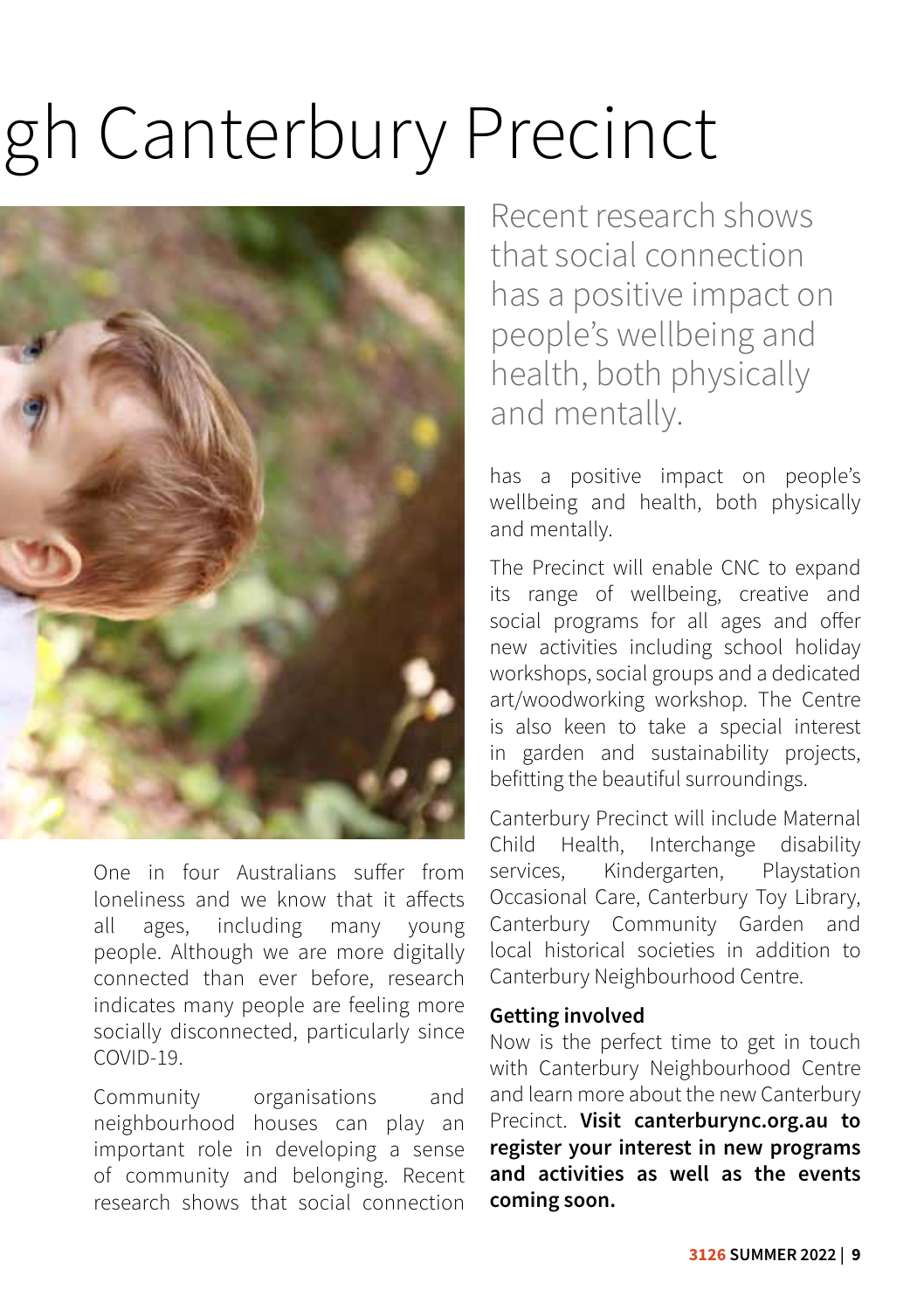# gh Canterbury Precinct



One in four Australians suffer from loneliness and we know that it affects all ages, including many young people. Although we are more digitally connected than ever before, research indicates many people are feeling more socially disconnected, particularly since COVID-19.

Community organisations and neighbourhood houses can play an important role in developing a sense of community and belonging. Recent research shows that social connection

Recent research shows that social connection has a positive impact on people's wellbeing and health, both physically and mentally.

has a positive impact on people's wellbeing and health, both physically and mentally.

The Precinct will enable CNC to expand its range of wellbeing, creative and social programs for all ages and offer new activities including school holiday workshops, social groups and a dedicated art/woodworking workshop. The Centre is also keen to take a special interest in garden and sustainability projects, befitting the beautiful surroundings.

Canterbury Precinct will include Maternal Child Health, Interchange disability services, Kindergarten, Playstation Occasional Care, Canterbury Toy Library, Canterbury Community Garden and local historical societies in addition to Canterbury Neighbourhood Centre.

#### **Getting involved**

Now is the perfect time to get in touch with Canterbury Neighbourhood Centre and learn more about the new Canterbury Precinct. **Visit canterburync.org.au to register your interest in new programs and activities as well as the events coming soon.**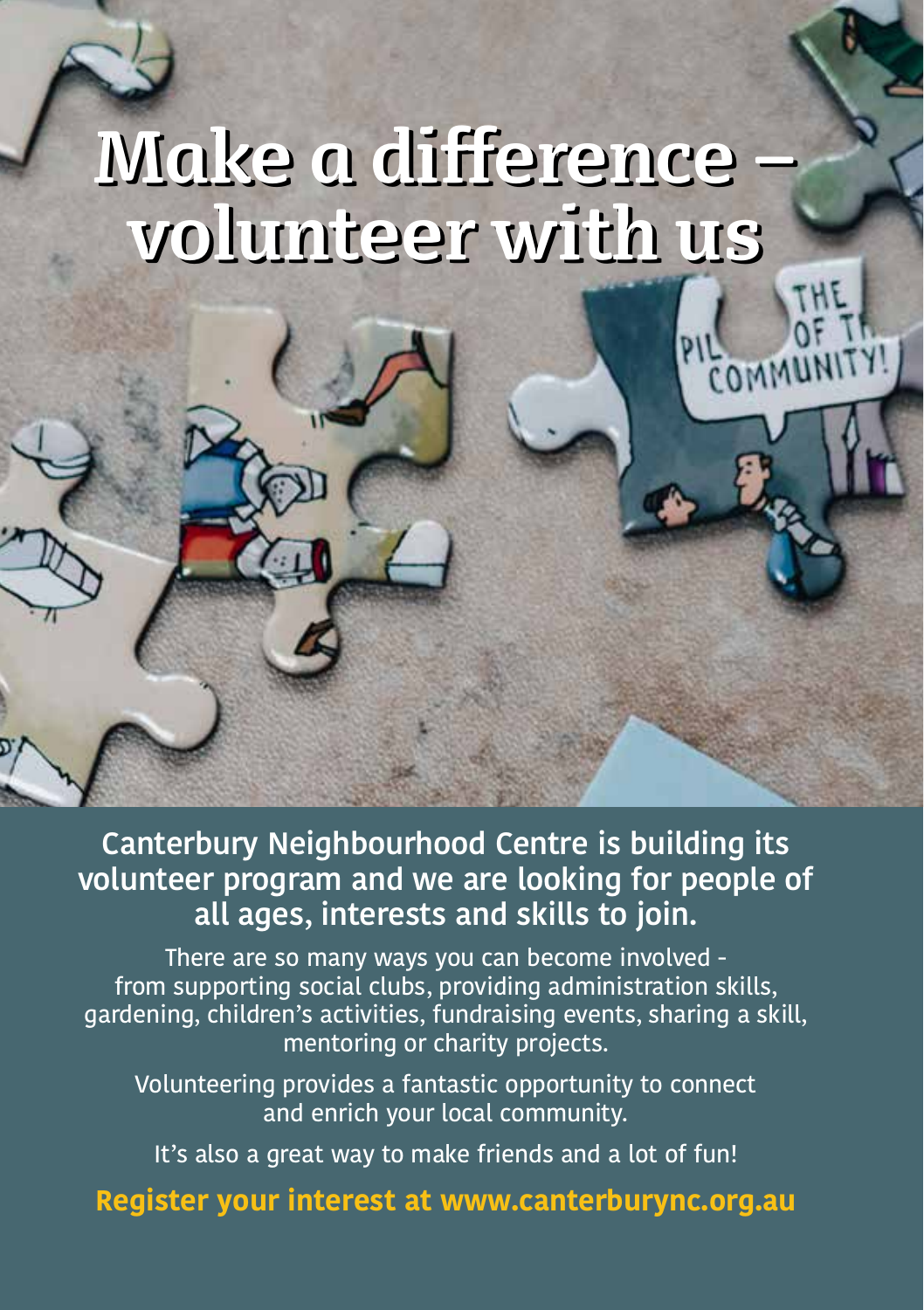# **Make a difference – Make a difference – volunteer with us volunteer with us**

COMMUNI

**Canterbury Neighbourhood Centre is building its volunteer program and we are looking for people of all ages, interests and skills to join.** 

There are so many ways you can become involved from supporting social clubs, providing administration skills, gardening, children's activities, fundraising events, sharing a skill, mentoring or charity projects.

Volunteering provides a fantastic opportunity to connect and enrich your local community.

It's also a great way to make friends and a lot of fun!

**Register your interest at www.canterburync.org.au**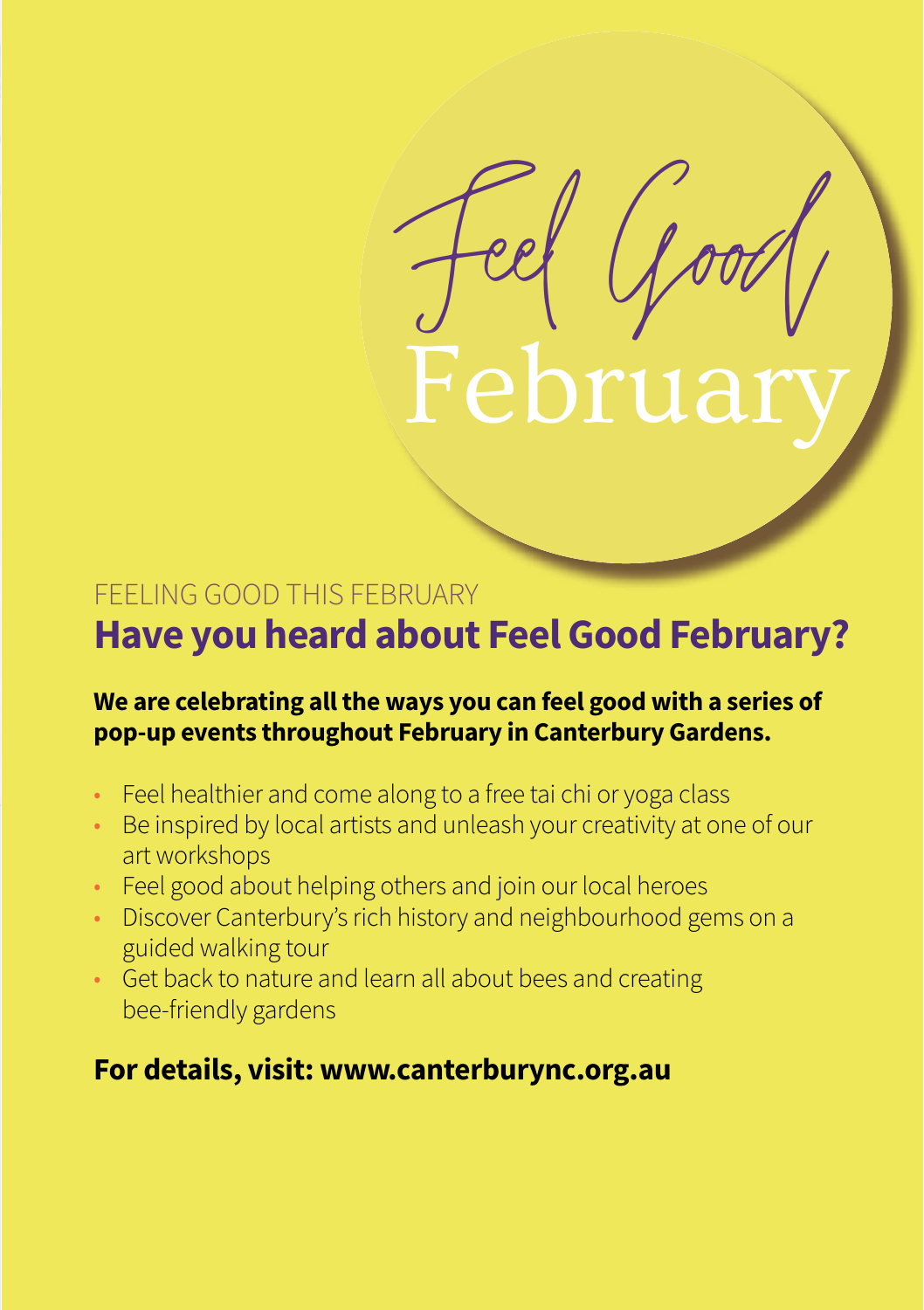### FEELING GOOD THIS FEBRUARY

## **Have you heard about Feel Good February?**

Feel Good

### We are celebrating all the ways you can feel good with a series of **compara pop-up events throughout February in Canterbury Gardens.**  workshops | wellei | kids classes

- Feel healthier and come along to a free tai chi or yoga class
- $\bullet$  Be inspired by local artists and unleash your creativity at one of our art workshops
- Feel good about helping others and join our local heroes
- Discover Canterbury's rich history and neighbourhood gems on a guided walking tour
- Get back to nature and learn all about bees and creating bee-friendly gardens

### **For details, visit: www.canterburync.org.au**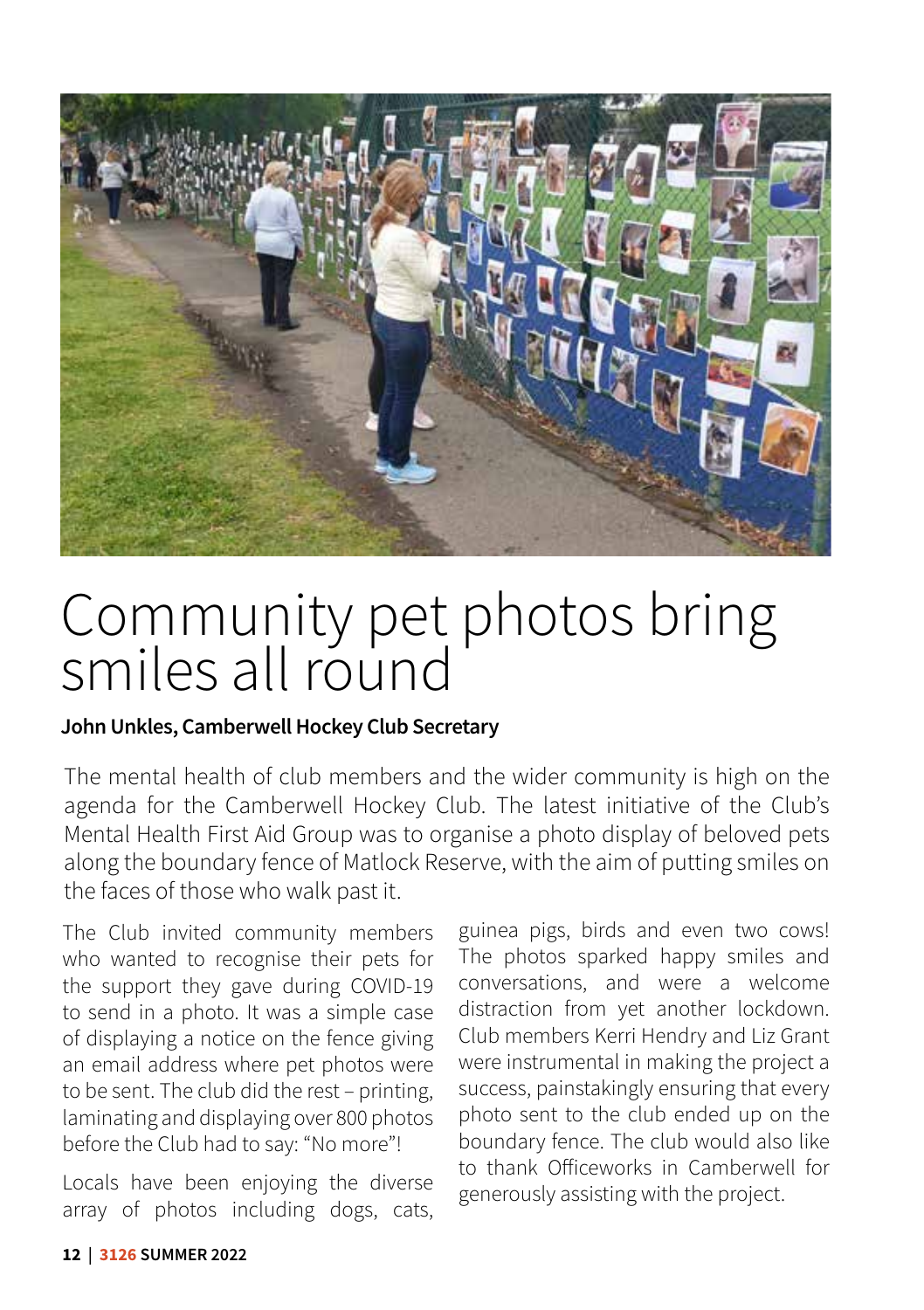

# Community pet photos bring smiles all round

### **John Unkles, Camberwell Hockey Club Secretary**

The mental health of club members and the wider community is high on the agenda for the Camberwell Hockey Club. The latest initiative of the Club's Mental Health First Aid Group was to organise a photo display of beloved pets along the boundary fence of Matlock Reserve, with the aim of putting smiles on the faces of those who walk past it.

The Club invited community members who wanted to recognise their pets for the support they gave during COVID-19 to send in a photo. It was a simple case of displaying a notice on the fence giving an email address where pet photos were to be sent. The club did the rest – printing, laminating and displaying over 800 photos before the Club had to say: "No more"!

Locals have been enjoying the diverse array of photos including dogs, cats, guinea pigs, birds and even two cows! The photos sparked happy smiles and conversations, and were a welcome distraction from yet another lockdown. Club members Kerri Hendry and Liz Grant were instrumental in making the project a success, painstakingly ensuring that every photo sent to the club ended up on the boundary fence. The club would also like to thank Officeworks in Camberwell for generously assisting with the project.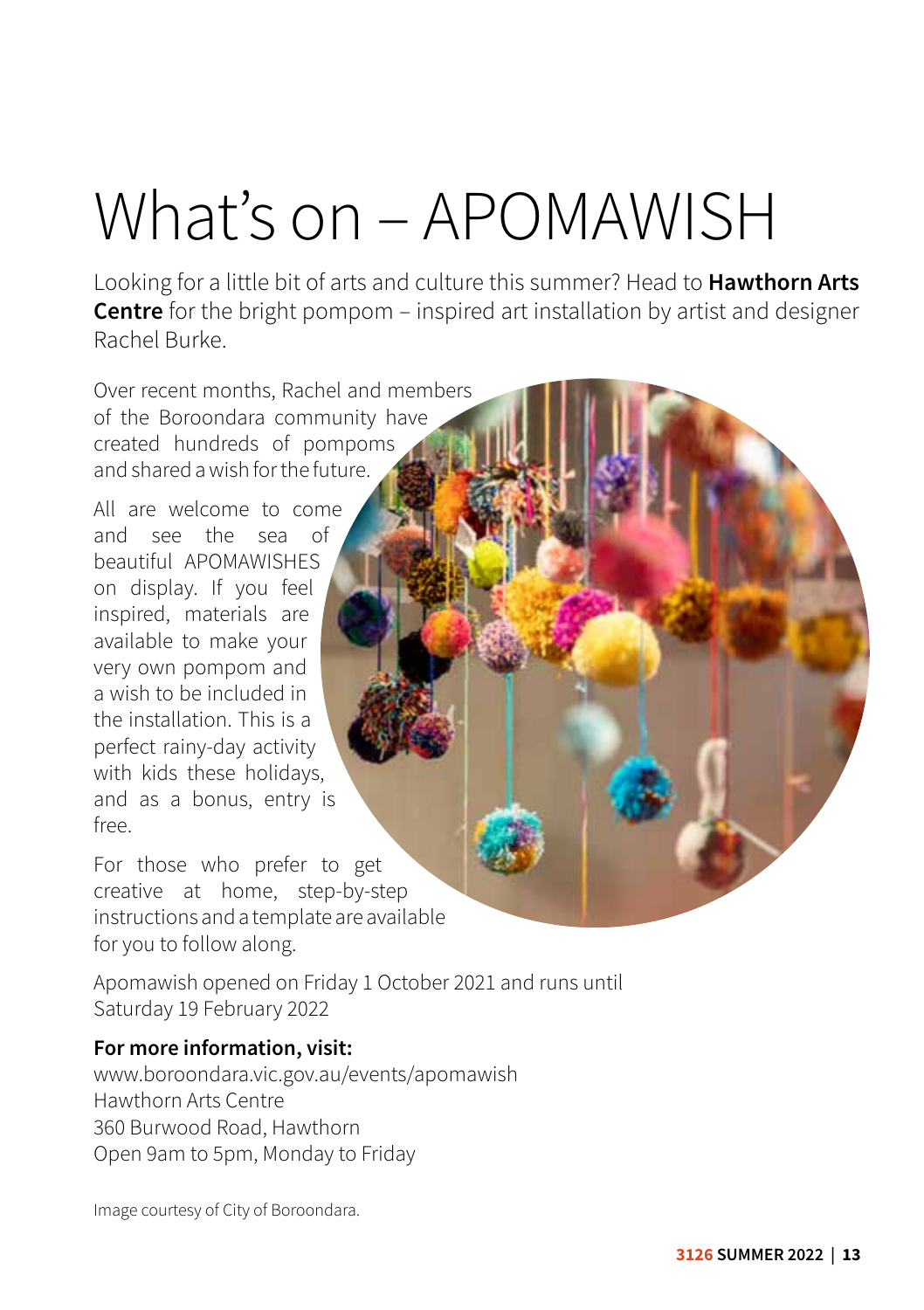# What's on – APOMAWISH

Looking for a little bit of arts and culture this summer? Head to **Hawthorn Arts Centre** for the bright pompom – inspired art installation by artist and designer Rachel Burke.

Over recent months, Rachel and members of the Boroondara community have created hundreds of pompoms and shared a wish for the future.

All are welcome to come and see the sea of beautiful APOMAWISHES on display. If you feel inspired, materials are available to make your very own pompom and a wish to be included in the installation. This is a perfect rainy-day activity with kids these holidays, and as a bonus, entry is free.

For those who prefer to get creative at home, step-by-step instructions and a template are available for you to follow along.

Apomawish opened on Friday 1 October 2021 and runs until Saturday 19 February 2022

### **For more information, visit:**

www.boroondara.vic.gov.au/events/apomawish Hawthorn Arts Centre 360 Burwood Road, Hawthorn Open 9am to 5pm, Monday to Friday

Image courtesy of City of Boroondara.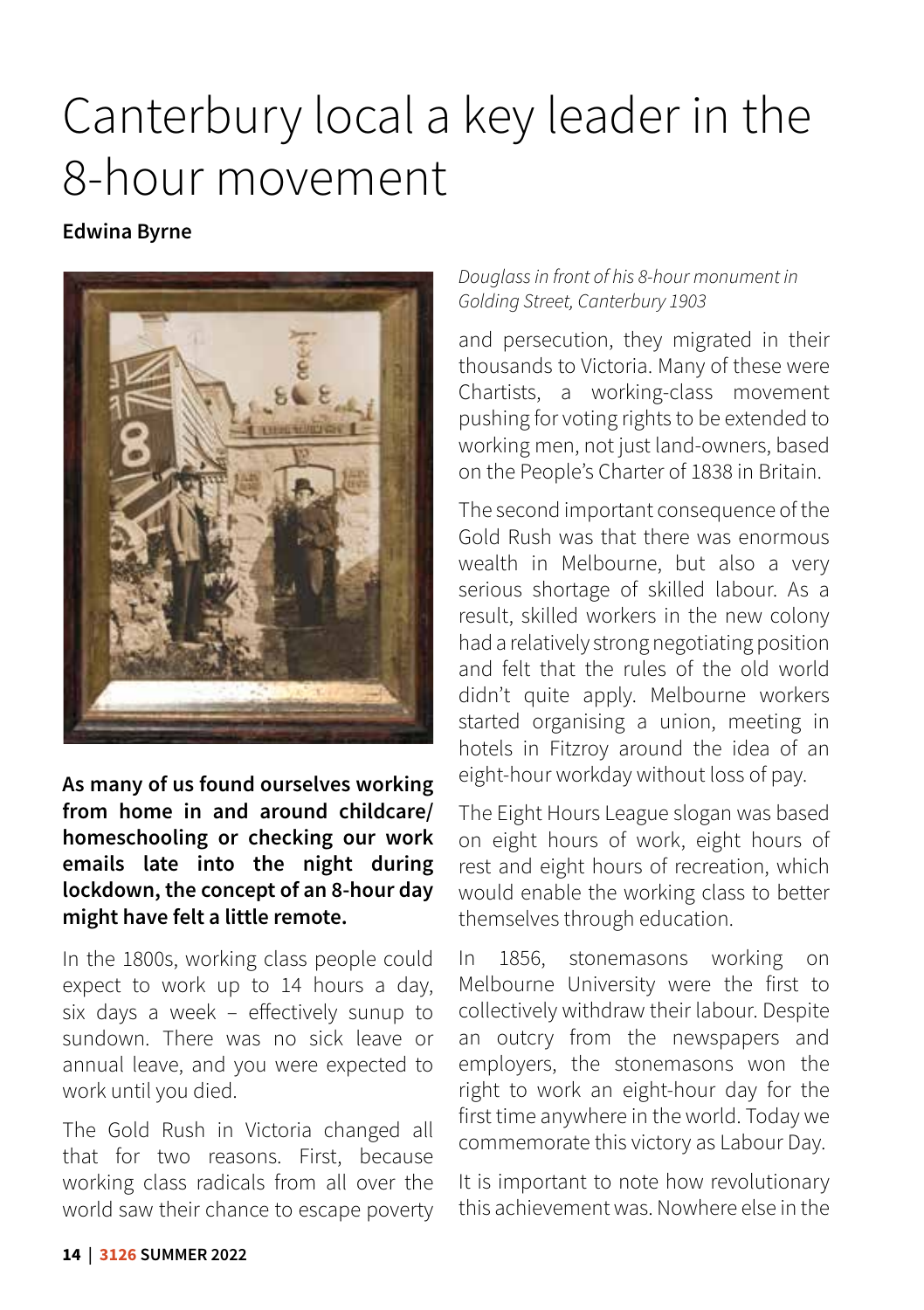# Canterbury local a key leader in the 8-hour movement

### **Edwina Byrne**

![](_page_15_Picture_2.jpeg)

**As many of us found ourselves working from home in and around childcare/ homeschooling or checking our work emails late into the night during lockdown, the concept of an 8-hour day might have felt a little remote.** 

In the 1800s, working class people could expect to work up to 14 hours a day, six days a week – effectively sunup to sundown. There was no sick leave or annual leave, and you were expected to work until you died.

The Gold Rush in Victoria changed all that for two reasons. First, because working class radicals from all over the world saw their chance to escape poverty

### *Douglass in front of his 8-hour monument in Golding Street, Canterbury 1903*

and persecution, they migrated in their thousands to Victoria. Many of these were Chartists, a working-class movement pushing for voting rights to be extended to working men, not just land-owners, based on the People's Charter of 1838 in Britain.

The second important consequence of the Gold Rush was that there was enormous wealth in Melbourne, but also a very serious shortage of skilled labour. As a result, skilled workers in the new colony had a relatively strong negotiating position and felt that the rules of the old world didn't quite apply. Melbourne workers started organising a union, meeting in hotels in Fitzroy around the idea of an eight-hour workday without loss of pay.

The Eight Hours League slogan was based on eight hours of work, eight hours of rest and eight hours of recreation, which would enable the working class to better themselves through education.

In 1856, stonemasons working on Melbourne University were the first to collectively withdraw their labour. Despite an outcry from the newspapers and employers, the stonemasons won the right to work an eight-hour day for the first time anywhere in the world. Today we commemorate this victory as Labour Day.

It is important to note how revolutionary this achievement was. Nowhere else in the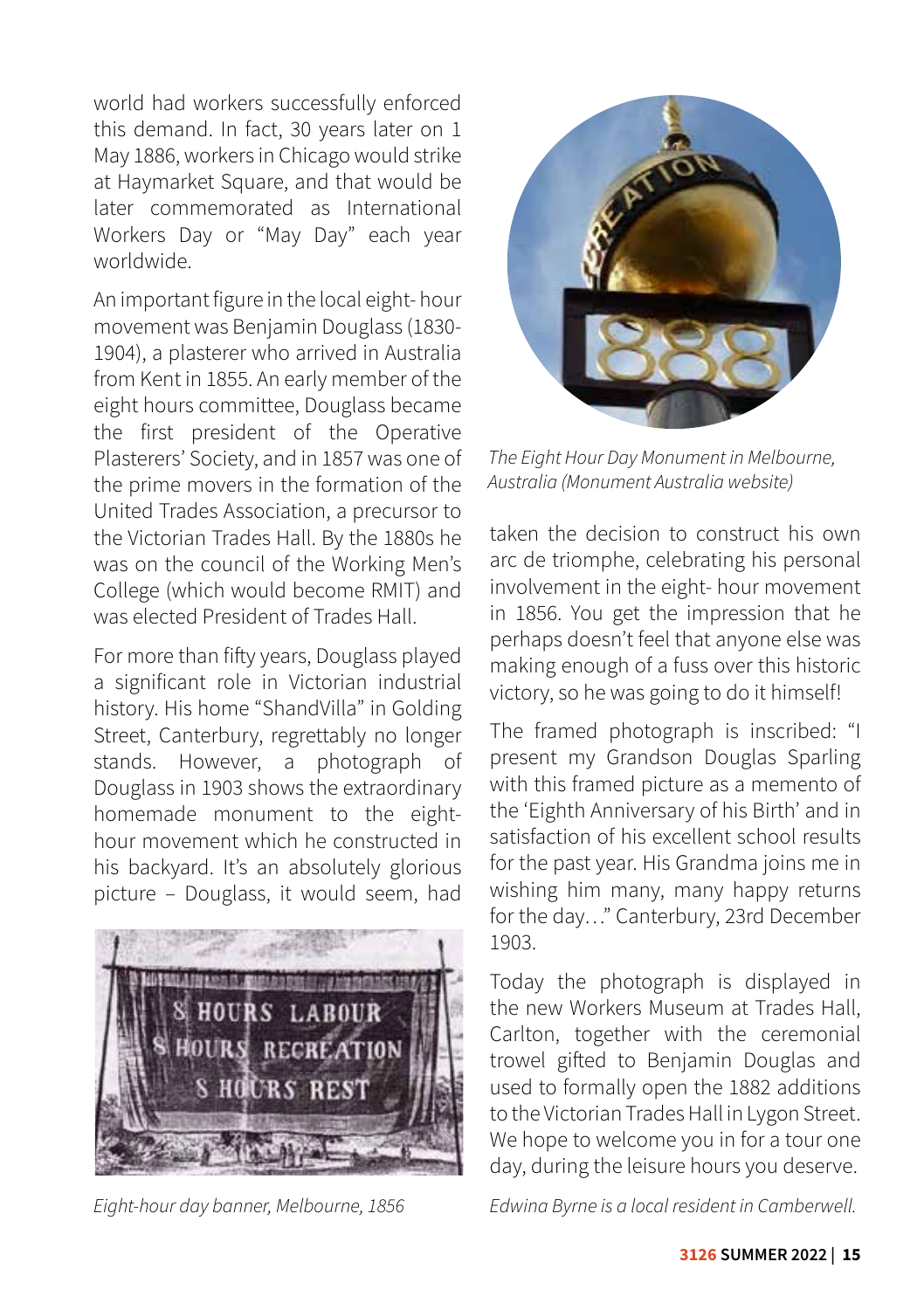world had workers successfully enforced this demand. In fact, 30 years later on 1 May 1886, workers in Chicago would strike at Haymarket Square, and that would be later commemorated as International Workers Day or "May Day" each year worldwide.

An important figure in the local eight- hour movement was Benjamin Douglass (1830- 1904), a plasterer who arrived in Australia from Kent in 1855. An early member of the eight hours committee, Douglass became the first president of the Operative Plasterers' Society, and in 1857 was one of the prime movers in the formation of the United Trades Association, a precursor to the Victorian Trades Hall. By the 1880s he was on the council of the Working Men's College (which would become RMIT) and was elected President of Trades Hall.

For more than fifty years, Douglass played a significant role in Victorian industrial history. His home "ShandVilla" in Golding Street, Canterbury, regrettably no longer stands. However, a photograph of Douglass in 1903 shows the extraordinary homemade monument to the eighthour movement which he constructed in his backyard. It's an absolutely glorious picture – Douglass, it would seem, had

![](_page_16_Picture_3.jpeg)

![](_page_16_Picture_5.jpeg)

*The Eight Hour Day Monument in Melbourne, Australia (Monument Australia website)*

taken the decision to construct his own arc de triomphe, celebrating his personal involvement in the eight- hour movement in 1856. You get the impression that he perhaps doesn't feel that anyone else was making enough of a fuss over this historic victory, so he was going to do it himself!

The framed photograph is inscribed: "I present my Grandson Douglas Sparling with this framed picture as a memento of the 'Eighth Anniversary of his Birth' and in satisfaction of his excellent school results for the past year. His Grandma joins me in wishing him many, many happy returns for the day…" Canterbury, 23rd December 1903.

Today the photograph is displayed in the new Workers Museum at Trades Hall, Carlton, together with the ceremonial trowel gifted to Benjamin Douglas and used to formally open the 1882 additions to the Victorian Trades Hall in Lygon Street. We hope to welcome you in for a tour one day, during the leisure hours you deserve.

*Eight-hour day banner, Melbourne, 1856 Edwina Byrne is a local resident in Camberwell.*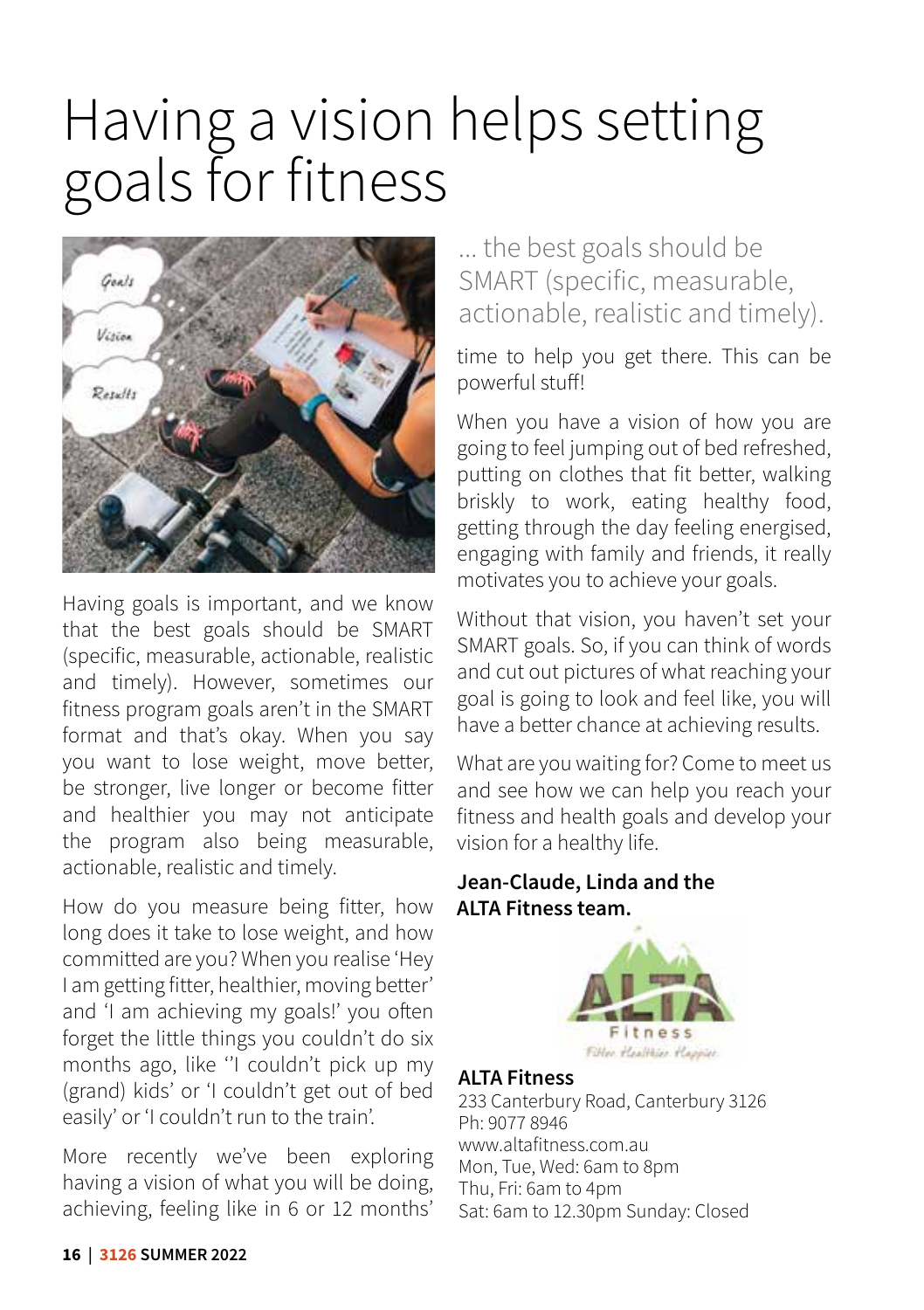# Having a vision helps setting goals for fitness

![](_page_17_Picture_1.jpeg)

Having goals is important, and we know that the best goals should be SMART (specific, measurable, actionable, realistic and timely). However, sometimes our fitness program goals aren't in the SMART format and that's okay. When you say you want to lose weight, move better, be stronger, live longer or become fitter and healthier you may not anticipate the program also being measurable, actionable, realistic and timely.

How do you measure being fitter, how long does it take to lose weight, and how committed are you? When you realise 'Hey I am getting fitter, healthier, moving better' and 'I am achieving my goals!' you often forget the little things you couldn't do six months ago, like ''I couldn't pick up my (grand) kids' or 'I couldn't get out of bed easily' or 'I couldn't run to the train'.

More recently we've been exploring having a vision of what you will be doing, achieving, feeling like in 6 or 12 months'

### ... the best goals should be SMART (specific, measurable, actionable, realistic and timely).

time to help you get there. This can be powerful stuff!

When you have a vision of how you are going to feel jumping out of bed refreshed, putting on clothes that fit better, walking briskly to work, eating healthy food, getting through the day feeling energised, engaging with family and friends, it really motivates you to achieve your goals.

Without that vision, you haven't set your SMART goals. So, if you can think of words and cut out pictures of what reaching your goal is going to look and feel like, you will have a better chance at achieving results.

What are you waiting for? Come to meet us and see how we can help you reach your fitness and health goals and develop your vision for a healthy life.

### **Jean-Claude, Linda and the ALTA Fitness team.**

![](_page_17_Picture_11.jpeg)

### **ALTA Fitness**

233 Canterbury Road, Canterbury 3126 Ph: 9077 8946 www.altafitness.com.au Mon, Tue, Wed: 6am to 8pm Thu, Fri: 6am to 4pm Sat: 6am to 12.30pm Sunday: Closed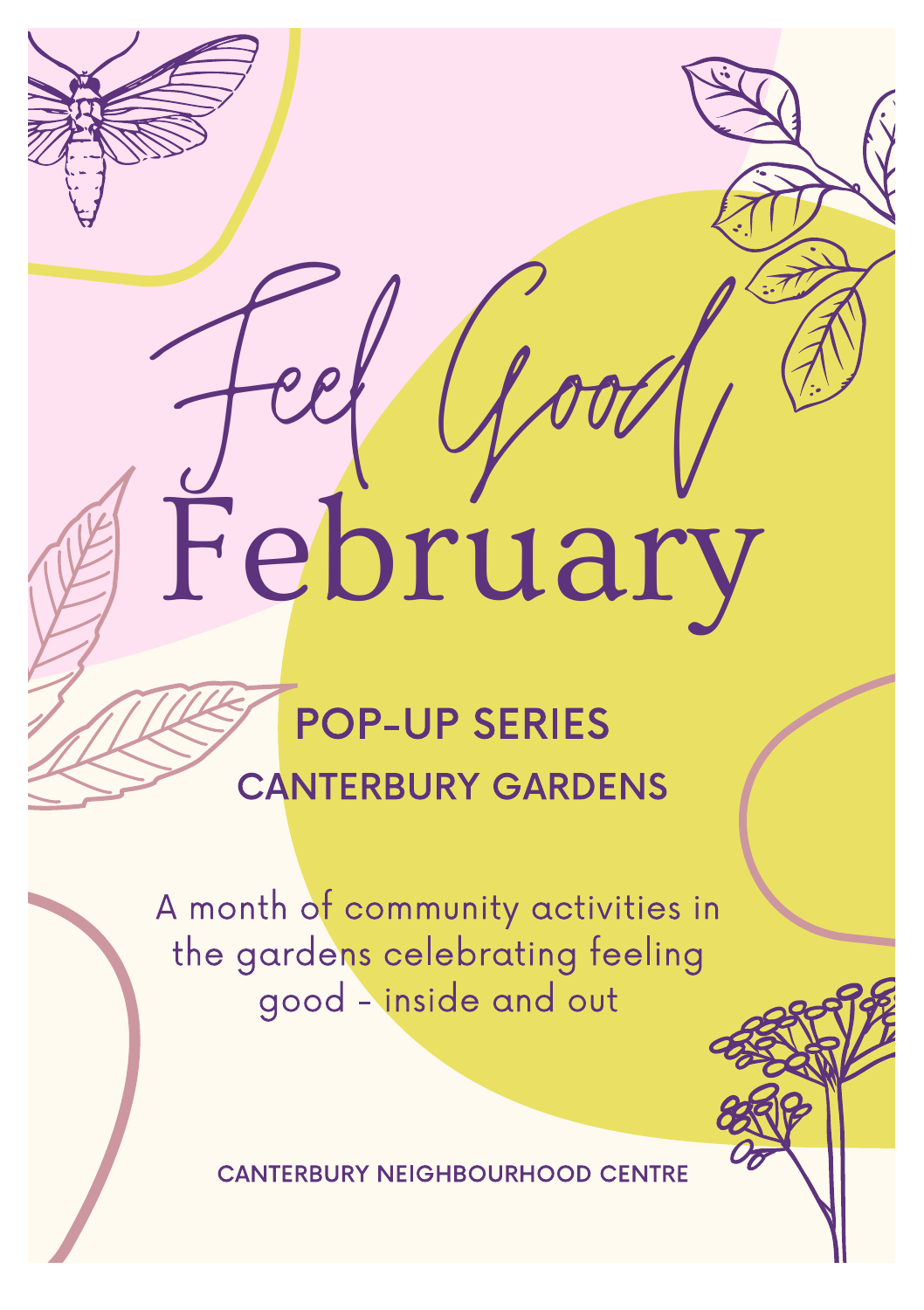# February

# POP-UP SERIES CANTERBURY GARDENS

A month of community activities in the gardens celebrating feeling good - inside and out

CANTERBURY NEIGHBOURHOOD CENTRE